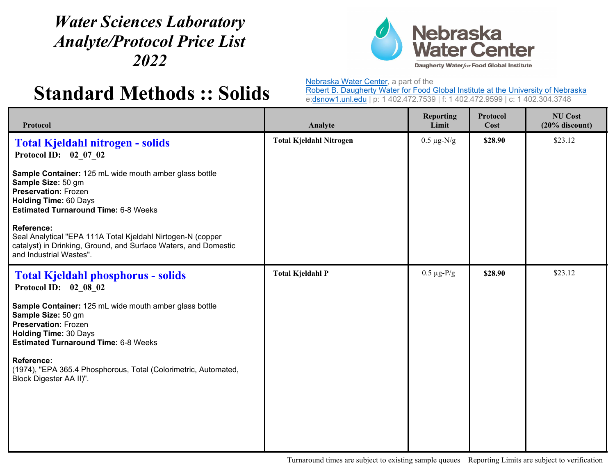## *Water Sciences Laboratory Analyte/Protocol Price List 2022*



## **Standard Methods :: Solids**

Nebraska Water Center, a part of the

Robert B. Daugherty Water for Food Global Institute at the University of Nebraska e:dsnow1.unl.edu | p: 1 402.472.7539 | f: 1 402.472.9599 | c: 1 402.304.3748

| Protocol                                                                                                                                                                                   | Analyte                        | <b>Reporting</b><br>Limit | Protocol<br>Cost | <b>NU Cost</b><br>$(20%$ discount) |
|--------------------------------------------------------------------------------------------------------------------------------------------------------------------------------------------|--------------------------------|---------------------------|------------------|------------------------------------|
| <b>Total Kjeldahl nitrogen - solids</b><br>Protocol ID: 02 07 02                                                                                                                           | <b>Total Kjeldahl Nitrogen</b> | $0.5 \ \mu g\text{-N/g}$  | \$28.90          | \$23.12                            |
| Sample Container: 125 mL wide mouth amber glass bottle<br>Sample Size: 50 gm<br><b>Preservation: Frozen</b><br><b>Holding Time: 60 Days</b><br><b>Estimated Turnaround Time: 6-8 Weeks</b> |                                |                           |                  |                                    |
| <b>Reference:</b><br>Seal Analytical "EPA 111A Total Kjeldahl Nirtogen-N (copper<br>catalyst) in Drinking, Ground, and Surface Waters, and Domestic<br>and Industrial Wastes".             |                                |                           |                  |                                    |
| <b>Total Kjeldahl phosphorus - solids</b><br>Protocol ID: 02 08 02                                                                                                                         | <b>Total Kjeldahl P</b>        | $0.5 \mu g$ -P/g          | \$28.90          | \$23.12                            |
| Sample Container: 125 mL wide mouth amber glass bottle<br>Sample Size: 50 gm<br><b>Preservation: Frozen</b><br><b>Holding Time: 30 Days</b><br><b>Estimated Turnaround Time: 6-8 Weeks</b> |                                |                           |                  |                                    |
| <b>Reference:</b><br>(1974), "EPA 365.4 Phosphorous, Total (Colorimetric, Automated,<br>Block Digester AA II)".                                                                            |                                |                           |                  |                                    |
|                                                                                                                                                                                            |                                |                           |                  |                                    |

Turnaround times are subject to existing sample queues Reporting Limits are subject to verification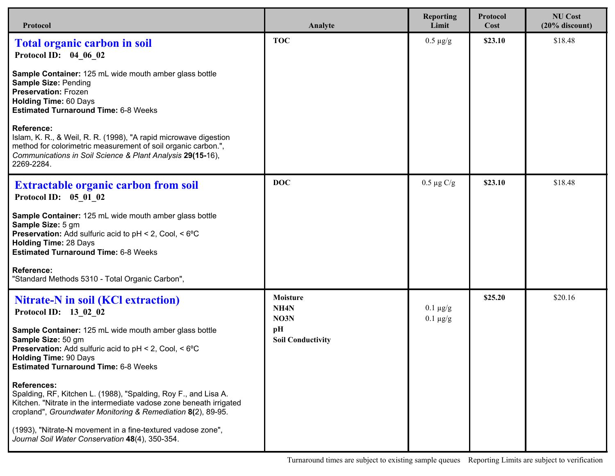| Protocol                                                                                                                                                                                                                           | Analyte                                      | <b>Reporting</b><br>Limit        | Protocol<br>Cost | <b>NU Cost</b><br>$(20%$ discount) |
|------------------------------------------------------------------------------------------------------------------------------------------------------------------------------------------------------------------------------------|----------------------------------------------|----------------------------------|------------------|------------------------------------|
| <b>Total organic carbon in soil</b><br>Protocol ID: 04 06 02                                                                                                                                                                       | <b>TOC</b>                                   | $0.5 \ \mu g/g$                  | \$23.10          | \$18.48                            |
| Sample Container: 125 mL wide mouth amber glass bottle<br><b>Sample Size: Pending</b><br><b>Preservation: Frozen</b><br><b>Holding Time: 60 Days</b><br><b>Estimated Turnaround Time: 6-8 Weeks</b>                                |                                              |                                  |                  |                                    |
| <b>Reference:</b><br>Islam, K. R., & Weil, R. R. (1998), "A rapid microwave digestion<br>method for colorimetric measurement of soil organic carbon.",<br>Communications in Soil Science & Plant Analysis 29(15-16),<br>2269-2284. |                                              |                                  |                  |                                    |
| <b>Extractable organic carbon from soil</b><br>Protocol ID: 05 01 02                                                                                                                                                               | <b>DOC</b>                                   | $0.5 \mu g C/g$                  | \$23.10          | \$18.48                            |
| Sample Container: 125 mL wide mouth amber glass bottle<br>Sample Size: 5 gm<br><b>Preservation:</b> Add sulfuric acid to pH < 2, Cool, < 6°C<br><b>Holding Time: 28 Days</b><br><b>Estimated Turnaround Time: 6-8 Weeks</b>        |                                              |                                  |                  |                                    |
| <b>Reference:</b><br>"Standard Methods 5310 - Total Organic Carbon",                                                                                                                                                               |                                              |                                  |                  |                                    |
| <b>Nitrate-N</b> in soil (KCl extraction)<br>Protocol ID: 13_02_02                                                                                                                                                                 | <b>Moisture</b><br>NH <sub>4</sub> N<br>NO3N | $0.1 \mu g/g$<br>$0.1 \ \mu g/g$ | \$25.20          | \$20.16                            |
| Sample Container: 125 mL wide mouth amber glass bottle<br>Sample Size: 50 gm<br><b>Preservation:</b> Add sulfuric acid to pH < 2, Cool, < 6°C<br><b>Holding Time: 90 Days</b><br><b>Estimated Turnaround Time: 6-8 Weeks</b>       | pH<br><b>Soil Conductivity</b>               |                                  |                  |                                    |
| <b>References:</b><br>Spalding, RF, Kitchen L. (1988), "Spalding, Roy F., and Lisa A.<br>Kitchen. "Nitrate in the intermediate vadose zone beneath irrigated<br>cropland", Groundwater Monitoring & Remediation 8(2), 89-95.       |                                              |                                  |                  |                                    |
| (1993), "Nitrate-N movement in a fine-textured vadose zone",<br>Journal Soil Water Conservation 48(4), 350-354.                                                                                                                    |                                              |                                  |                  |                                    |